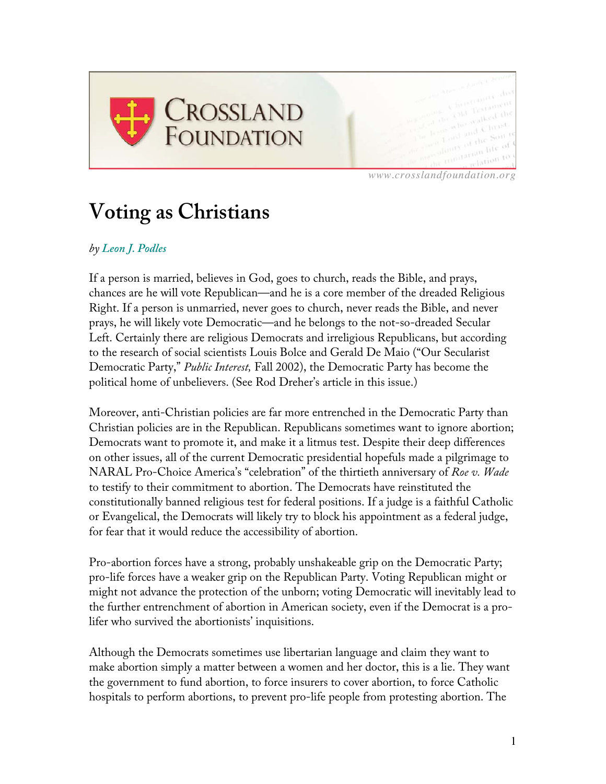

*www.crosslandfoundation.org*

## **Voting as Christians**

## *by Leon J. Podles*

If a person is married, believes in God, goes to church, reads the Bible, and prays, chances are he will vote Republican—and he is a core member of the dreaded Religious Right. If a person is unmarried, never goes to church, never reads the Bible, and never prays, he will likely vote Democratic—and he belongs to the not-so-dreaded Secular Left. Certainly there are religious Democrats and irreligious Republicans, but according to the research of social scientists Louis Bolce and Gerald De Maio ("Our Secularist Democratic Party," *Public Interest,* Fall 2002), the Democratic Party has become the political home of unbelievers. (See Rod Dreher's article in this issue.)

Moreover, anti-Christian policies are far more entrenched in the Democratic Party than Christian policies are in the Republican. Republicans sometimes want to ignore abortion; Democrats want to promote it, and make it a litmus test. Despite their deep differences on other issues, all of the current Democratic presidential hopefuls made a pilgrimage to NARAL Pro-Choice America's "celebration" of the thirtieth anniversary of *Roe v. Wade* to testify to their commitment to abortion. The Democrats have reinstituted the constitutionally banned religious test for federal positions. If a judge is a faithful Catholic or Evangelical, the Democrats will likely try to block his appointment as a federal judge, for fear that it would reduce the accessibility of abortion.

Pro-abortion forces have a strong, probably unshakeable grip on the Democratic Party; pro-life forces have a weaker grip on the Republican Party. Voting Republican might or might not advance the protection of the unborn; voting Democratic will inevitably lead to the further entrenchment of abortion in American society, even if the Democrat is a prolifer who survived the abortionists' inquisitions.

Although the Democrats sometimes use libertarian language and claim they want to make abortion simply a matter between a women and her doctor, this is a lie. They want the government to fund abortion, to force insurers to cover abortion, to force Catholic hospitals to perform abortions, to prevent pro-life people from protesting abortion. The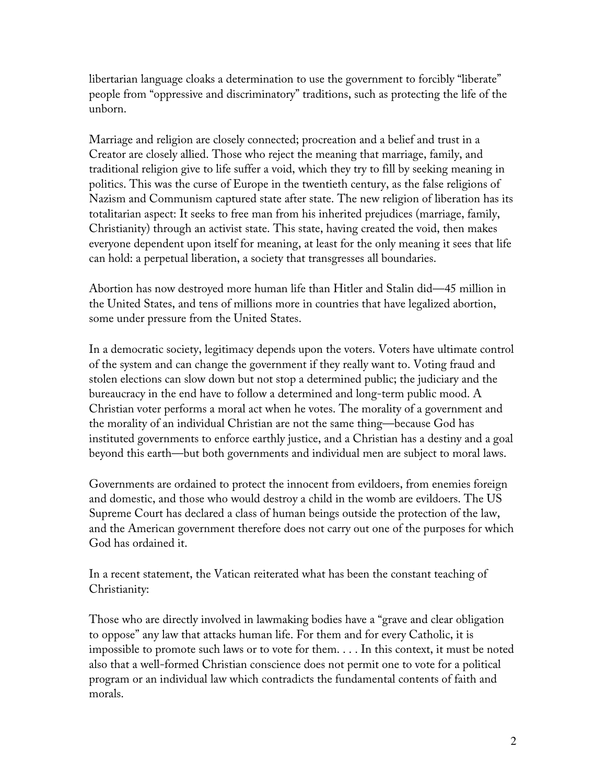libertarian language cloaks a determination to use the government to forcibly "liberate" people from "oppressive and discriminatory" traditions, such as protecting the life of the unborn.

Marriage and religion are closely connected; procreation and a belief and trust in a Creator are closely allied. Those who reject the meaning that marriage, family, and traditional religion give to life suffer a void, which they try to fill by seeking meaning in politics. This was the curse of Europe in the twentieth century, as the false religions of Nazism and Communism captured state after state. The new religion of liberation has its totalitarian aspect: It seeks to free man from his inherited prejudices (marriage, family, Christianity) through an activist state. This state, having created the void, then makes everyone dependent upon itself for meaning, at least for the only meaning it sees that life can hold: a perpetual liberation, a society that transgresses all boundaries.

Abortion has now destroyed more human life than Hitler and Stalin did—45 million in the United States, and tens of millions more in countries that have legalized abortion, some under pressure from the United States.

In a democratic society, legitimacy depends upon the voters. Voters have ultimate control of the system and can change the government if they really want to. Voting fraud and stolen elections can slow down but not stop a determined public; the judiciary and the bureaucracy in the end have to follow a determined and long-term public mood. A Christian voter performs a moral act when he votes. The morality of a government and the morality of an individual Christian are not the same thing—because God has instituted governments to enforce earthly justice, and a Christian has a destiny and a goal beyond this earth—but both governments and individual men are subject to moral laws.

Governments are ordained to protect the innocent from evildoers, from enemies foreign and domestic, and those who would destroy a child in the womb are evildoers. The US Supreme Court has declared a class of human beings outside the protection of the law, and the American government therefore does not carry out one of the purposes for which God has ordained it.

In a recent statement, the Vatican reiterated what has been the constant teaching of Christianity:

Those who are directly involved in lawmaking bodies have a "grave and clear obligation to oppose" any law that attacks human life. For them and for every Catholic, it is impossible to promote such laws or to vote for them. . . . In this context, it must be noted also that a well-formed Christian conscience does not permit one to vote for a political program or an individual law which contradicts the fundamental contents of faith and morals.